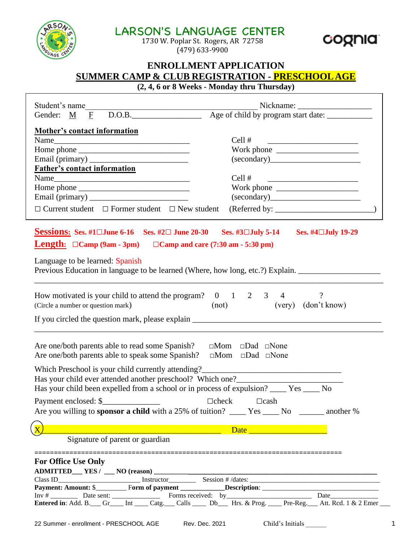| <b>__________________________________</b><br>1730 W. Poplar St. Rogers, AR 72758<br>$(479)$ 633-9900                                                                    |                                                                                                                                            |
|-------------------------------------------------------------------------------------------------------------------------------------------------------------------------|--------------------------------------------------------------------------------------------------------------------------------------------|
|                                                                                                                                                                         | <b>ENROLLMENT APPLICATION</b><br><b>SUMMER CAMP &amp; CLUB REGISTRATION - PRESCHOOL AGE</b><br>(2, 4, 6 or 8 Weeks - Monday thru Thursday) |
|                                                                                                                                                                         |                                                                                                                                            |
|                                                                                                                                                                         |                                                                                                                                            |
| <b>Mother's contact information</b>                                                                                                                                     | Cell #                                                                                                                                     |
|                                                                                                                                                                         | <u> 1989 - Andrea Brand, amerikansk politik (</u><br>Work phone                                                                            |
|                                                                                                                                                                         | (secondary)                                                                                                                                |
| <b>Father's contact information</b>                                                                                                                                     |                                                                                                                                            |
|                                                                                                                                                                         | Cell #<br><u> 1989 - Andrea Andrew Maria (h. 1989).</u>                                                                                    |
|                                                                                                                                                                         | Work phone $\frac{1}{\sqrt{1-\frac{1}{2}}}\left  \frac{1}{\sqrt{1-\frac{1}{2}}}\right $                                                    |
|                                                                                                                                                                         |                                                                                                                                            |
| $\Box$ Current student $\Box$ Former student $\Box$ New student                                                                                                         | (Referred by:                                                                                                                              |
| How motivated is your child to attend the program? $0 \t 1 \t 2 \t 3 \t 4$<br>(Circle a number or question mark)                                                        | $\overline{?}$<br>(very) (don't know)<br>(not)                                                                                             |
|                                                                                                                                                                         |                                                                                                                                            |
| Are one/both parents able to read some Spanish? $\Box$ Mom $\Box$ Dad $\Box$ None<br>Are one/both parents able to speak some Spanish? $\Box$ Mom $\Box$ Dad $\Box$ None |                                                                                                                                            |
| Which Preschool is your child currently attending?                                                                                                                      |                                                                                                                                            |
| Has your child ever attended another preschool? Which one?_______________________                                                                                       |                                                                                                                                            |
| Has your child been expelled from a school or in process of expulsion? _____ Yes _____ No                                                                               |                                                                                                                                            |
| Payment enclosed: \$                                                                                                                                                    | $\Box$ check<br>$\Box$ cash                                                                                                                |
| Are you willing to <b>sponsor a child</b> with a 25% of tuition? _____ Yes _____ No ______ another %                                                                    |                                                                                                                                            |
|                                                                                                                                                                         |                                                                                                                                            |
| Signature of parent or guardian                                                                                                                                         |                                                                                                                                            |
|                                                                                                                                                                         |                                                                                                                                            |
| <b>For Office Use Only</b>                                                                                                                                              |                                                                                                                                            |
|                                                                                                                                                                         |                                                                                                                                            |
|                                                                                                                                                                         |                                                                                                                                            |
|                                                                                                                                                                         |                                                                                                                                            |
| Entered in: Add. B. Gr_ Gr_ Int _ Catg. Calls _ Db_ Hrs. & Prog. _ Pre-Reg. Att. Rcd. 1 & 2 Emer                                                                        |                                                                                                                                            |

LARSON'S LANGUAGE CENTER

RRSC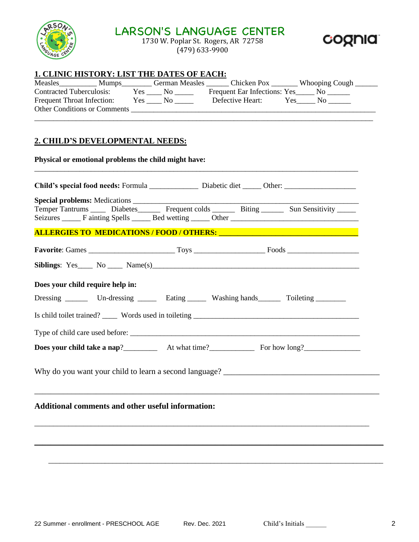

# LARSON'S LANGUAGE CENTER

1730 W. Poplar St. Rogers, AR 72758 (479) 633-9900



#### **1. CLINIC HISTORY: LIST THE DATES OF EACH:**

| Measles                             | <b>Mumps</b> | <b>German Measles</b> | Chicken Pox                  | <b>Whooping Cough</b> |
|-------------------------------------|--------------|-----------------------|------------------------------|-----------------------|
| <b>Contracted Tuberculosis:</b>     | Yes          | No.                   | Frequent Ear Infections: Yes |                       |
| <b>Frequent Throat Infection:</b>   | Yes          | Nο                    | Defective Heart:             | Y es                  |
| <b>Other Conditions or Comments</b> |              |                       |                              |                       |
|                                     |              |                       |                              |                       |

#### **2. CHILD'S DEVELOPMENTAL NEEDS:**

**Physical or emotional problems the child might have:** \_\_\_\_\_\_\_\_\_\_\_\_\_\_\_\_\_\_\_\_\_\_\_\_\_\_\_\_\_\_\_\_\_\_\_\_\_\_\_\_\_\_\_\_\_\_\_\_\_\_\_\_\_\_\_\_\_\_\_\_\_\_\_\_\_\_\_\_\_\_\_\_\_\_\_\_\_\_\_\_\_\_\_\_\_\_

| Temper Tantrums ______ Diabetes_________ Frequent colds ________ Biting ________ Sun Sensitivity ______<br>Seizures ________ F ainting Spells _______ Bed wetting ______ Other ________________________________ |  |  |  |  |  |
|-----------------------------------------------------------------------------------------------------------------------------------------------------------------------------------------------------------------|--|--|--|--|--|
| ALLERGIES TO MEDICATIONS / FOOD / OTHERS: Under the Mathematical Contract of the Mathematical Contract of the                                                                                                   |  |  |  |  |  |
|                                                                                                                                                                                                                 |  |  |  |  |  |
| Siblings: $Yes_$ No $\_\_\_$ Name(s)                                                                                                                                                                            |  |  |  |  |  |
| Does your child require help in:                                                                                                                                                                                |  |  |  |  |  |
| Dressing ________ Un-dressing _______ Eating _______ Washing hands ________ Toileting _________                                                                                                                 |  |  |  |  |  |
|                                                                                                                                                                                                                 |  |  |  |  |  |
|                                                                                                                                                                                                                 |  |  |  |  |  |
|                                                                                                                                                                                                                 |  |  |  |  |  |
|                                                                                                                                                                                                                 |  |  |  |  |  |
| <b>Additional comments and other useful information:</b>                                                                                                                                                        |  |  |  |  |  |
|                                                                                                                                                                                                                 |  |  |  |  |  |

\_\_\_\_\_\_\_\_\_\_\_\_\_\_\_\_\_\_\_\_\_\_\_\_\_\_\_\_\_\_\_\_\_\_\_\_\_\_\_\_\_\_\_\_\_\_\_\_\_\_\_\_\_\_\_\_\_\_\_\_\_\_\_\_\_\_\_\_\_\_\_\_\_\_\_\_\_\_\_\_\_\_\_\_\_\_\_\_\_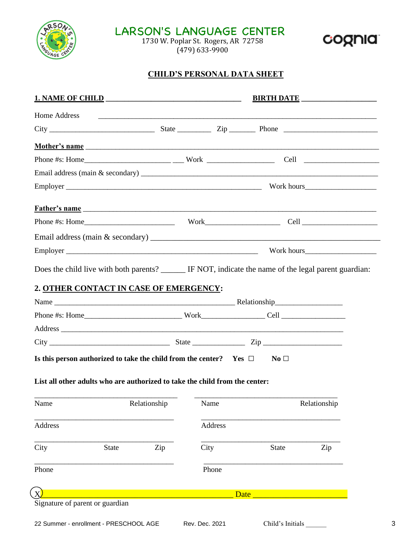

LARSON'S LANGUAGE CENTER

1730 W. Poplar St. Rogers, AR 72758 (479) 633-9900

### **CHILD'S PERSONAL DATA SHEET**

|              |                                                                                                | <b>BIRTH DATE</b>                  |                 |              |
|--------------|------------------------------------------------------------------------------------------------|------------------------------------|-----------------|--------------|
| Home Address |                                                                                                |                                    |                 |              |
|              |                                                                                                |                                    |                 |              |
|              |                                                                                                |                                    |                 |              |
|              |                                                                                                |                                    |                 |              |
|              |                                                                                                |                                    |                 |              |
|              |                                                                                                |                                    |                 |              |
|              | <u>Father's name</u>                                                                           |                                    |                 |              |
|              |                                                                                                |                                    |                 |              |
|              |                                                                                                |                                    |                 |              |
|              |                                                                                                |                                    |                 |              |
|              |                                                                                                |                                    |                 |              |
|              |                                                                                                |                                    |                 |              |
|              |                                                                                                |                                    |                 |              |
|              |                                                                                                |                                    |                 |              |
|              |                                                                                                |                                    |                 |              |
|              | $City$ $City$ $Zip$<br>Is this person authorized to take the child from the center? Yes $\Box$ |                                    | $\rm No \ \Box$ |              |
|              | List all other adults who are authorized to take the child from the center:                    | $\sim$ $\sim$ $\sim$ $\sim$ $\sim$ |                 |              |
| Name         | Relationship                                                                                   | Name                               |                 | Relationship |
| Address      |                                                                                                | Address                            |                 |              |
| City         | Zip<br><b>State</b>                                                                            | City                               | <b>State</b>    | Zip          |
| Phone        |                                                                                                | Phone                              |                 |              |
|              |                                                                                                |                                    | Date            |              |

cognia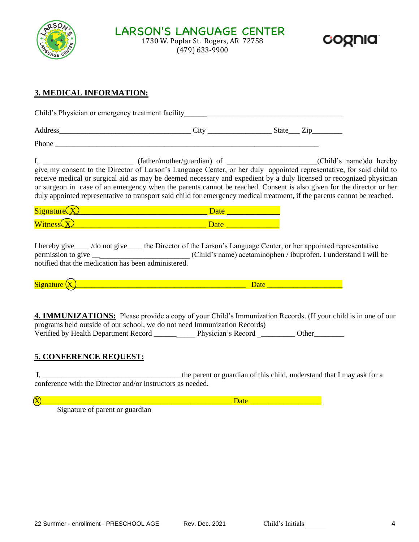



#### **3. MEDICAL INFORMATION:**

Child's Physician or emergency treatment facility \_\_\_\_\_\_\_\_\_\_\_\_\_\_\_\_\_\_\_\_\_\_\_\_\_\_\_\_\_\_\_

Address\_\_\_\_\_\_\_\_\_\_\_\_\_\_\_\_\_\_\_\_\_\_\_\_\_\_\_\_\_\_\_\_\_\_\_ City \_\_\_\_\_\_\_\_\_\_\_\_\_\_\_\_\_ State\_\_\_ Zip\_\_\_\_\_\_\_\_

Phone

I, \_\_\_\_\_\_\_\_\_\_\_\_\_\_\_\_\_\_\_\_\_\_\_\_ (father/mother/guardian) of \_\_\_\_\_\_\_\_\_\_\_\_\_\_\_\_\_\_\_\_\_\_\_\_(Child's name)do hereby give my consent to the Director of Larson's Language Center, or her duly appointed representative, for said child to receive medical or surgical aid as may be deemed necessary and expedient by a duly licensed or recognized physician or surgeon in case of an emergency when the parents cannot be reached. Consent is also given for the director or her duly appointed representative to transport said child for emergency medical treatment, if the parents cannot be reached.

I hereby give\_\_\_\_ /do not give\_\_\_\_ the Director of the Larson's Language Center, or her appointed representative permission to give \_\_\_\_\_\_\_\_\_\_\_\_\_\_\_\_\_\_\_\_\_\_\_\_\_(Child's name) acetaminophen / ibuprofen. I understand I will be notified that the medication has been administered.

 $S$ ignature  $\overline{(X)}$  and  $\overline{X}$  and  $\overline{X}$  and  $\overline{X}$  are  $\overline{X}$  and  $\overline{X}$  and  $\overline{X}$  are  $\overline{X}$  and  $\overline{X}$  are  $\overline{X}$  and  $\overline{X}$  are  $\overline{X}$  and  $\overline{X}$  are  $\overline{X}$  and  $\overline{X}$  are  $\overline{X}$  and

**4. IMMUNIZATIONS:** Please provide a copy of your Child's Immunization Records. (If your child is in one of our programs held outside of our school, we do not need Immunization Records) Verified by Health Department Record \_\_\_\_\_\_\_\_\_\_\_\_\_ Physician's Record \_\_\_\_\_\_\_\_\_\_ Other\_\_\_\_\_\_\_\_\_\_

#### **5. CONFERENCE REQUEST:**

I, \_\_\_\_\_\_\_\_\_\_\_\_\_\_\_\_\_\_\_\_\_\_\_\_\_\_\_\_\_\_\_\_\_\_\_\_\_the parent or guardian of this child, understand that I may ask for a conference with the Director and/or instructors as needed.

X\_\_\_\_\_\_\_\_\_\_\_\_\_\_\_\_\_\_\_\_\_\_\_\_\_\_\_\_\_\_\_\_\_\_\_\_\_\_\_\_\_\_\_\_\_\_\_\_\_\_\_ Date \_\_\_\_\_\_\_\_\_\_\_\_\_\_\_\_\_\_\_

Signature of parent or guardian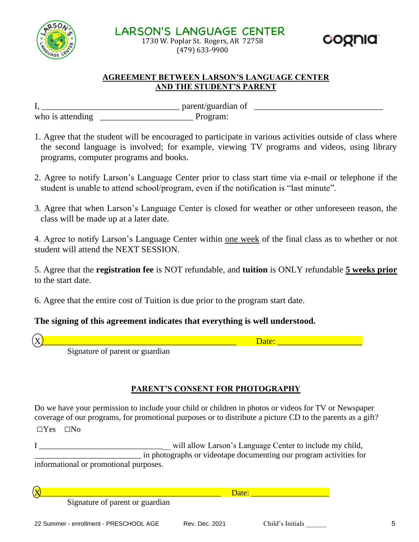

**LARSON'S LANGUAGE CENTER** 1730 W. Poplar St. Rogers, AR 72758 (479) 633-9900

#### **AGREEMENT BETWEEN LARSON'S LANGUAGE CENTER AND THE STUDENT'S PARENT**

I, \_\_\_\_\_\_\_\_\_\_\_\_\_\_\_\_\_\_\_\_\_\_\_\_\_\_\_\_\_\_\_ parent/guardian of \_\_\_\_\_\_\_\_\_\_\_\_\_\_\_\_\_\_\_\_\_\_\_\_\_\_\_\_\_ who is attending Theorem Program:

- 1. Agree that the student will be encouraged to participate in various activities outside of class where the second language is involved; for example, viewing TV programs and videos, using library programs, computer programs and books.
- 2. Agree to notify Larson's Language Center prior to class start time via e-mail or telephone if the student is unable to attend school/program, even if the notification is "last minute".
- 3. Agree that when Larson's Language Center is closed for weather or other unforeseen reason, the class will be made up at a later date.

4. Agree to notify Larson's Language Center within one week of the final class as to whether or not student will attend the NEXT SESSION.

5. Agree that the **registration fee** is NOT refundable, and **tuition** is ONLY refundable **5 weeks prior** to the start date.

6. Agree that the entire cost of Tuition is due prior to the program start date.

# **The signing of this agreement indicates that everything is well understood.**

 $\chi$ ) and the contract of the contract of the contract of the contract of  $\chi$ 

coonia

Signature of parent or guardian

# **PARENT'S CONSENT FOR PHOTOGRAPHY**

Do we have your permission to include your child or children in photos or videos for TV or Newspaper coverage of our programs, for promotional purposes or to distribute a picture CD to the parents as a gift?

□Yes □No

I \_\_\_\_\_\_\_\_\_\_\_\_\_\_\_\_\_\_\_\_\_\_\_\_\_\_\_\_\_\_\_\_ will allow Larson's Language Center to include my child, \_\_\_\_\_\_\_\_\_\_\_\_\_\_\_\_\_\_\_\_\_\_\_\_\_\_ in photographs or videotape documenting our program activities for informational or promotional purposes.

X\_\_\_\_\_\_\_\_\_\_\_\_\_\_\_\_\_\_\_\_\_\_\_\_\_\_\_\_\_\_\_\_\_\_\_\_\_\_\_\_\_\_\_\_ Date: \_\_\_\_\_\_\_\_\_\_\_\_\_\_\_\_\_\_\_

Signature of parent or guardian